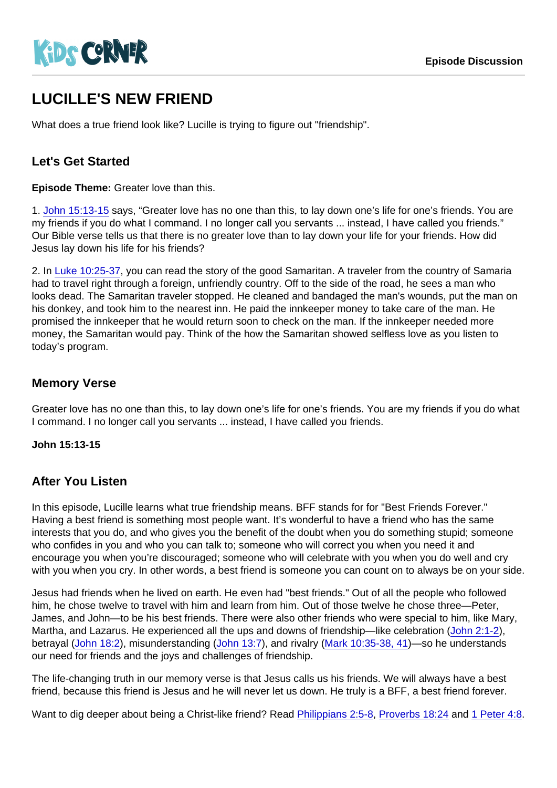# LUCILLE'S NEW FRIEND

What does a true friend look like? Lucille is trying to figure out "friendship".

#### Let's Get Started

Episode Theme: Greater love than this.

1. [John 15:13-15](https://www.biblegateway.com/passage/?search=John+15:13-15) says, "Greater love has no one than this, to lay down one's life for one's friends. You are my friends if you do what I command. I no longer call you servants ... instead, I have called you friends." Our Bible verse tells us that there is no greater love than to lay down your life for your friends. How did Jesus lay down his life for his friends?

2. In [Luke 10:25-37,](https://www.biblegateway.com/passage/?search=Luke+10:25-37) you can read the story of the good Samaritan. A traveler from the country of Samaria had to travel right through a foreign, unfriendly country. Off to the side of the road, he sees a man who looks dead. The Samaritan traveler stopped. He cleaned and bandaged the man's wounds, put the man on his donkey, and took him to the nearest inn. He paid the innkeeper money to take care of the man. He promised the innkeeper that he would return soon to check on the man. If the innkeeper needed more money, the Samaritan would pay. Think of the how the Samaritan showed selfless love as you listen to today's program.

#### Memory Verse

Greater love has no one than this, to lay down one's life for one's friends. You are my friends if you do what I command. I no longer call you servants ... instead, I have called you friends.

John 15:13-15

#### After You Listen

In this episode, Lucille learns what true friendship means. BFF stands for for "Best Friends Forever." Having a best friend is something most people want. It's wonderful to have a friend who has the same interests that you do, and who gives you the benefit of the doubt when you do something stupid; someone who confides in you and who you can talk to; someone who will correct you when you need it and encourage you when you're discouraged; someone who will celebrate with you when you do well and cry with you when you cry. In other words, a best friend is someone you can count on to always be on your side.

Jesus had friends when he lived on earth. He even had "best friends." Out of all the people who followed him, he chose twelve to travel with him and learn from him. Out of those twelve he chose three—Peter, James, and John—to be his best friends. There were also other friends who were special to him, like Mary, Martha, and Lazarus. He experienced all the ups and downs of friendship—like celebration ([John 2:1-2\)](https://www.biblegateway.com/passage/?search=John+2:1-2), betrayal ([John 18:2](https://www.biblegateway.com/passage/?search=John+18:2)), misunderstanding [\(John 13:7\)](https://www.biblegateway.com/passage/?search=John+13:7), and rivalry [\(Mark 10:35-38, 41](https://www.biblegateway.com/passage/?search=Mark+10:35-41))—so he understands our need for friends and the joys and challenges of friendship.

The life-changing truth in our memory verse is that Jesus calls us his friends. We will always have a best friend, because this friend is Jesus and he will never let us down. He truly is a BFF, a best friend forever.

Want to dig deeper about being a Christ-like friend? Read [Philippians 2:5-8](https://www.biblegateway.com/passage/?search=Philippians+2:5-8), [Proverbs 18:24](https://www.biblegateway.com/passage/?search=Proverbs+18:24) and [1 Peter 4:8](https://www.biblegateway.com/passage/?search=1+Peter+4:8).